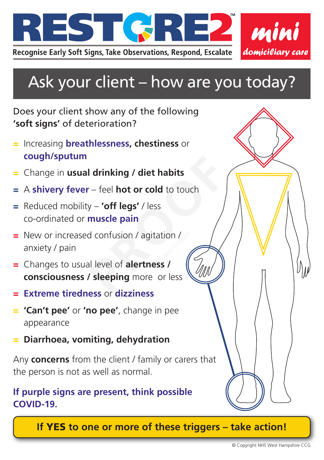

## Ask your client – how are you today?

## Does your client show any of the following **'soft signs'** of deterioration?

- = Increasing **breathlessness, chestiness** or **cough/sputum**
- = Change in **usual drinking / diet habits**
- = A **shivery fever** feel **hot or cold** to touch
- = Reduced mobility **'off legs'** / less co-ordinated or **muscle pain**
- = New or increased confusion / agitation /<br>anxiety / pain<br>*M* anxiety / pain
- = Changes to usual level of **alertness / consciousness / sleeping** more or less **Properties Alternative Control of Alternative Control of Alternative Control of Alternative Control of Alternative Control of Alternative Control of Alternative Control of Alternative Control of Alternative Control of Alt**
- = **Extreme tiredness** or **dizziness**
- = **'Can't pee'** or **'no pee'**, change in pee appearance
- = **Diarrhoea, vomiting, dehydration**

Any **concerns** from the client / family or carers that the person is not as well as normal.

## **If purple signs are present, think possible COVID-19.**

**If** YES **to one or more of these triggers – take action!**